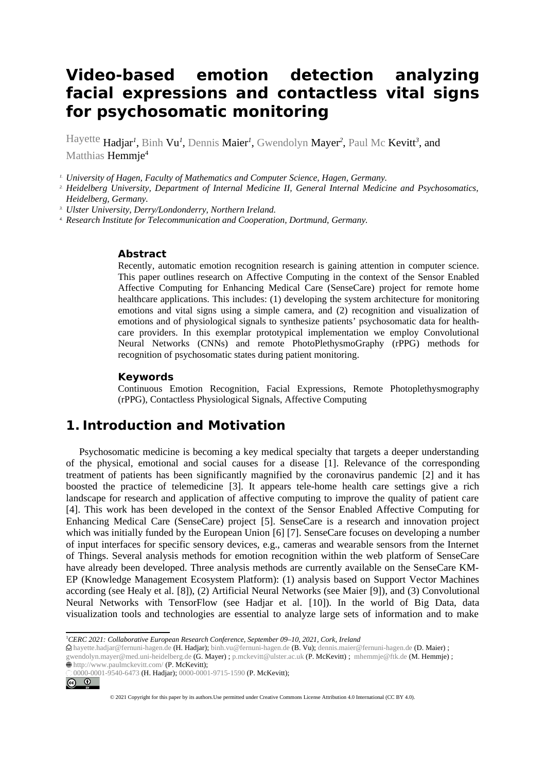# **Video-based emotion detection analyzing facial expressions and contactless vital signs for psychosomatic monitoring**

Hayette Hadjar*<sup>1</sup>* , Binh Vu*<sup>1</sup>* , Dennis Maier*<sup>1</sup>* , Gwendolyn Mayer*<sup>2</sup>* , Paul Mc Kevitt*<sup>3</sup>* , and Matthias Hemmie<sup>4</sup>

*1. University of Hagen, Faculty of Mathematics and Computer Science, Hagen, Germany.* 

*2. Heidelberg University, Department of Internal Medicine II, General Internal Medicine and Psychosomatics, Heidelberg, Germany.* 

*3. Ulster University, Derry/Londonderry, Northern Ireland.* 

*4. Research Institute for Telecommunication and Cooperation, Dortmund, Germany.*

#### **Abstract**

Recently, automatic emotion recognition research is gaining attention in computer science. This paper outlines research on Affective Computing in the context of the Sensor Enabled Affective Computing for Enhancing Medical Care (SenseCare) project for remote home healthcare applications. This includes: (1) developing the system architecture for monitoring emotions and vital signs using a simple camera, and (2) recognition and visualization of emotions and of physiological signals to synthesize patients' psychosomatic data for healthcare providers. In this exemplar prototypical implementation we employ Convolutional Neural Networks (CNNs) and remote PhotoPlethysmoGraphy (rPPG) methods for recognition of psychosomatic states during patient monitoring.

#### **Keywords [1](#page-0-0)**

Continuous Emotion Recognition, Facial Expressions, Remote Photoplethysmography (rPPG), Contactless Physiological Signals, Affective Computing

#### **1. Introduction and Motivation**

Psychosomatic medicine is becoming a key medical specialty that targets a deeper understanding of the physical, emotional and social causes for a disease [1]. Relevance of the corresponding treatment of patients has been significantly magnified by the coronavirus pandemic [2] and it has boosted the practice of telemedicine [3]. It appears tele-home health care settings give a rich landscape for research and application of affective computing to improve the quality of patient care [4]. This work has been developed in the context of the Sensor Enabled Affective Computing for Enhancing Medical Care (SenseCare) project [5]. SenseCare is a research and innovation project which was initially funded by the European Union [6] [7]. SenseCare focuses on developing a number of input interfaces for specific sensory devices, e.g., cameras and wearable sensors from the Internet of Things. Several analysis methods for emotion recognition within the web platform of SenseCare have already been developed. Three analysis methods are currently available on the SenseCare KM-EP (Knowledge Management Ecosystem Platform): (1) analysis based on Support Vector Machines according (see Healy et al. [8]), (2) Artificial Neural Networks (see Maier [9]), and (3) Convolutional Neural Networks with TensorFlow (see Hadjar et al. [10]). In the world of Big Data, data visualization tools and technologies are essential to analyze large sets of information and to make

 $0000-0001-9540-6473$  (H. Hadjar); 0000-0001-9715-1590 (P. McKevitt);  $\odot$ 



<sup>© 2021</sup> Copyright for this paper by its authors.Use permitted under Creative Commons License Attribution 4.0 International (CC BY 4.0).

<span id="page-0-0"></span><sup>1</sup>*CERC 2021: Collaborative European Research Conference, September 09–10, 2021, Cork, Ireland*

hayette.hadjar@fernuni-hagen.de (H. Hadjar); binh.vu@fernuni-hagen.de (B. Vu); dennis.maier@fernuni-hagen.de (D. Maier) ; gwendolyn.mayer@med.uni-heidelberg.de (G. Mayer) ; p.mckevitt@ulster.ac.uk (P. McKevitt) ; mhemmje@ftk.de (M. Hemmje) ;  $\bullet$  http://www.paulmckevitt.com/ (P. McKevitt);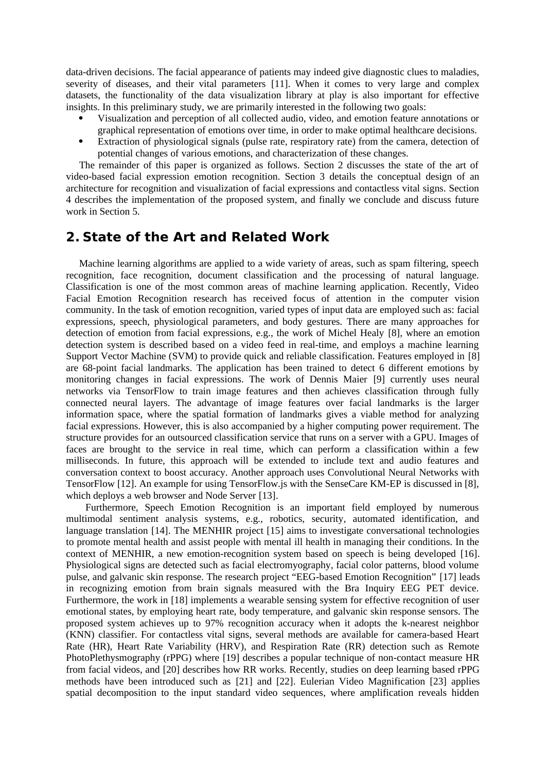data-driven decisions. The facial appearance of patients may indeed give diagnostic clues to maladies, severity of diseases, and their vital parameters [11]. When it comes to very large and complex datasets, the functionality of the data visualization library at play is also important for effective insights. In this preliminary study, we are primarily interested in the following two goals:

- Visualization and perception of all collected audio, video, and emotion feature annotations or graphical representation of emotions over time, in order to make optimal healthcare decisions.
- Extraction of physiological signals (pulse rate, respiratory rate) from the camera, detection of potential changes of various emotions, and characterization of these changes.

The remainder of this paper is organized as follows. Section 2 discusses the state of the art of video-based facial expression emotion recognition. Section 3 details the conceptual design of an architecture for recognition and visualization of facial expressions and contactless vital signs. Section 4 describes the implementation of the proposed system, and finally we conclude and discuss future work in Section 5.

### **2. State of the Art and Related Work**

Machine learning algorithms are applied to a wide variety of areas, such as spam filtering, speech recognition, face recognition, document classification and the processing of natural language. Classification is one of the most common areas of machine learning application. Recently, Video Facial Emotion Recognition research has received focus of attention in the computer vision community. In the task of emotion recognition, varied types of input data are employed such as: facial expressions, speech, physiological parameters, and body gestures. There are many approaches for detection of emotion from facial expressions, e.g., the work of Michel Healy [8], where an emotion detection system is described based on a video feed in real-time, and employs a machine learning Support Vector Machine (SVM) to provide quick and reliable classification. Features employed in [8] are 68-point facial landmarks. The application has been trained to detect 6 different emotions by monitoring changes in facial expressions. The work of Dennis Maier [9] currently uses neural networks via TensorFlow to train image features and then achieves classification through fully connected neural layers. The advantage of image features over facial landmarks is the larger information space, where the spatial formation of landmarks gives a viable method for analyzing facial expressions. However, this is also accompanied by a higher computing power requirement. The structure provides for an outsourced classification service that runs on a server with a GPU. Images of faces are brought to the service in real time, which can perform a classification within a few milliseconds. In future, this approach will be extended to include text and audio features and conversation context to boost accuracy. Another approach uses Convolutional Neural Networks with TensorFlow [12]. An example for using TensorFlow.js with the SenseCare KM-EP is discussed in [8], which deploys a web browser and Node Server [13].

 Furthermore, Speech Emotion Recognition is an important field employed by numerous multimodal sentiment analysis systems, e.g., robotics, security, automated identification, and language translation [14]. The MENHIR project [15] aims to investigate conversational technologies to promote mental health and assist people with mental ill health in managing their conditions. In the context of MENHIR, a new emotion-recognition system based on speech is being developed [16]. Physiological signs are detected such as facial electromyography, facial color patterns, blood volume pulse, and galvanic skin response. The research project "EEG-based Emotion Recognition" [17] leads in recognizing emotion from brain signals measured with the Bra Inquiry EEG PET device. Furthermore, the work in [18] implements a wearable sensing system for effective recognition of user emotional states, by employing heart rate, body temperature, and galvanic skin response sensors. The proposed system achieves up to 97% recognition accuracy when it adopts the k-nearest neighbor (KNN) classifier. For contactless vital signs, several methods are available for camera-based Heart Rate (HR), Heart Rate Variability (HRV), and Respiration Rate (RR) detection such as Remote PhotoPlethysmography (rPPG) where [19] describes a popular technique of non-contact measure HR from facial videos, and [20] describes how RR works. Recently, studies on deep learning based rPPG methods have been introduced such as [21] and [22]. Eulerian Video Magnification [23] applies spatial decomposition to the input standard video sequences, where amplification reveals hidden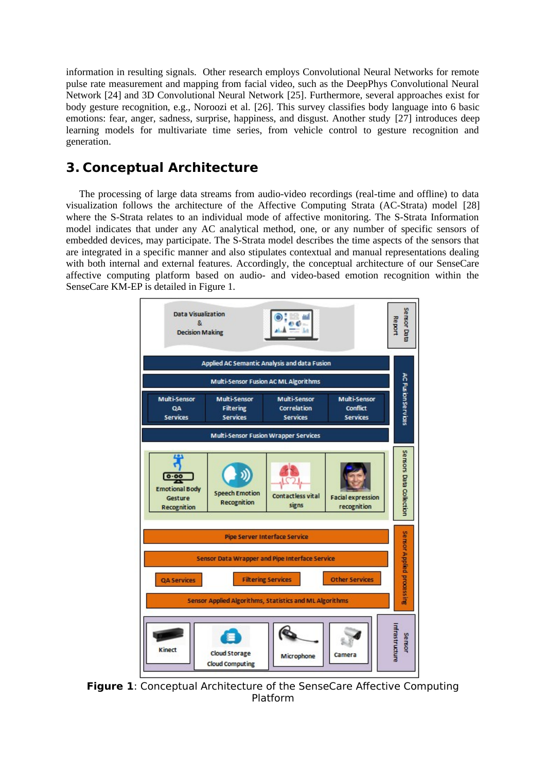information in resulting signals. Other research employs Convolutional Neural Networks for remote pulse rate measurement and mapping from facial video, such as the DeepPhys Convolutional Neural Network [24] and 3D Convolutional Neural Network [25]. Furthermore, several approaches exist for body gesture recognition, e.g., Noroozi et al. [26]. This survey classifies body language into 6 basic emotions: fear, anger, sadness, surprise, happiness, and disgust. Another study [27] introduces deep learning models for multivariate time series, from vehicle control to gesture recognition and generation.

# **3. Conceptual Architecture**

The processing of large data streams from audio-video recordings (real-time and offline) to data visualization follows the architecture of the Affective Computing Strata (AC-Strata) model [28] where the S-Strata relates to an individual mode of affective monitoring. The S-Strata Information model indicates that under any AC analytical method, one, or any number of specific sensors of embedded devices, may participate. The S-Strata model describes the time aspects of the sensors that are integrated in a specific manner and also stipulates contextual and manual representations dealing with both internal and external features. Accordingly, the conceptual architecture of our SenseCare affective computing platform based on audio- and video-based emotion recognition within the SenseCare KM-EP is detailed in Figure 1.



**Figure 1**: Conceptual Architecture of the SenseCare Affective Computing Platform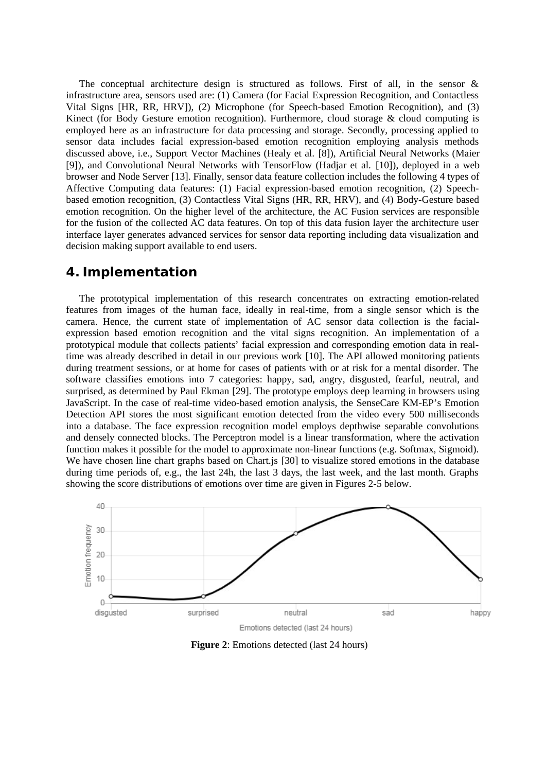The conceptual architecture design is structured as follows. First of all, in the sensor & infrastructure area, sensors used are: (1) Camera (for Facial Expression Recognition, and Contactless Vital Signs [HR, RR, HRV]), (2) Microphone (for Speech-based Emotion Recognition), and (3) Kinect (for Body Gesture emotion recognition). Furthermore, cloud storage & cloud computing is employed here as an infrastructure for data processing and storage. Secondly, processing applied to sensor data includes facial expression-based emotion recognition employing analysis methods discussed above, i.e., Support Vector Machines (Healy et al. [8]), Artificial Neural Networks (Maier [9]), and Convolutional Neural Networks with TensorFlow (Hadjar et al. [10]), deployed in a web browser and Node Server [13]. Finally, sensor data feature collection includes the following 4 types of Affective Computing data features: (1) Facial expression-based emotion recognition, (2) Speechbased emotion recognition, (3) Contactless Vital Signs (HR, RR, HRV), and (4) Body-Gesture based emotion recognition. On the higher level of the architecture, the AC Fusion services are responsible for the fusion of the collected AC data features. On top of this data fusion layer the architecture user interface layer generates advanced services for sensor data reporting including data visualization and decision making support available to end users.

#### **4. Implementation**

The prototypical implementation of this research concentrates on extracting emotion-related features from images of the human face, ideally in real-time, from a single sensor which is the camera. Hence, the current state of implementation of AC sensor data collection is the facialexpression based emotion recognition and the vital signs recognition. An implementation of a prototypical module that collects patients' facial expression and corresponding emotion data in realtime was already described in detail in our previous work [10]. The API allowed monitoring patients during treatment sessions, or at home for cases of patients with or at risk for a mental disorder. The software classifies emotions into 7 categories: happy, sad, angry, disgusted, fearful, neutral, and surprised, as determined by Paul Ekman [29]. The prototype employs deep learning in browsers using JavaScript. In the case of real-time video-based emotion analysis, the SenseCare KM-EP's Emotion Detection API stores the most significant emotion detected from the video every 500 milliseconds into a database. The face expression recognition model employs depthwise separable convolutions and densely connected blocks. The Perceptron model is a linear transformation, where the activation function makes it possible for the model to approximate non-linear functions (e.g. Softmax, Sigmoid). We have chosen line chart graphs based on Chart.js [30] to visualize stored emotions in the database during time periods of, e.g., the last 24h, the last 3 days, the last week, and the last month. Graphs showing the score distributions of emotions over time are given in Figures 2-5 below.



**Figure 2**: Emotions detected (last 24 hours)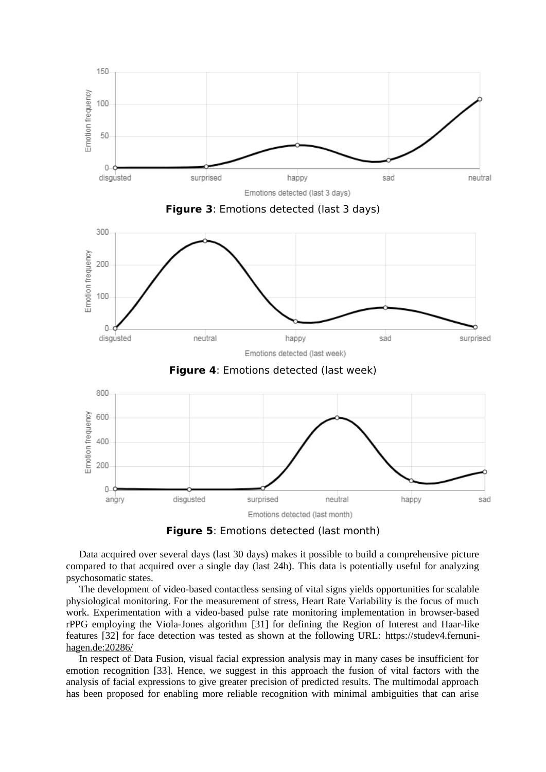

**Figure 5**: Emotions detected (last month)

Data acquired over several days (last 30 days) makes it possible to build a comprehensive picture compared to that acquired over a single day (last 24h). This data is potentially useful for analyzing psychosomatic states.

The development of video-based contactless sensing of vital signs yields opportunities for scalable physiological monitoring. For the measurement of stress, Heart Rate Variability is the focus of much work. Experimentation with a video-based pulse rate monitoring implementation in browser-based rPPG employing the Viola-Jones algorithm [31] for defining the Region of Interest and Haar-like features [32] for face detection was tested as shown at the following URL: [https://studev4.fernuni](https://studev4.fernuni-hagen.de:20286/)[hagen.de:20286/](https://studev4.fernuni-hagen.de:20286/)

In respect of Data Fusion, visual facial expression analysis may in many cases be insufficient for emotion recognition [33]. Hence, we suggest in this approach the fusion of vital factors with the analysis of facial expressions to give greater precision of predicted results. The multimodal approach has been proposed for enabling more reliable recognition with minimal ambiguities that can arise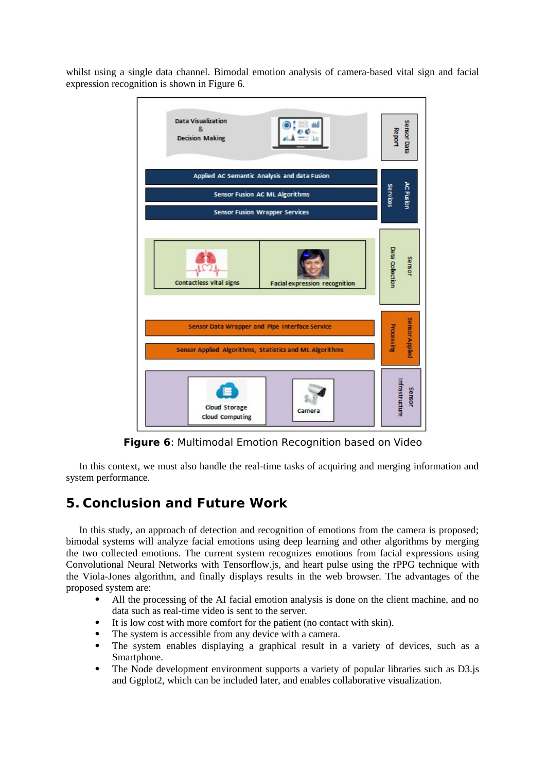whilst using a single data channel. Bimodal emotion analysis of camera-based vital sign and facial expression recognition is shown in Figure 6.



**Figure 6**: Multimodal Emotion Recognition based on Video

In this context, we must also handle the real-time tasks of acquiring and merging information and system performance.

# **5. Conclusion and Future Work**

In this study, an approach of detection and recognition of emotions from the camera is proposed; bimodal systems will analyze facial emotions using deep learning and other algorithms by merging the two collected emotions. The current system recognizes emotions from facial expressions using Convolutional Neural Networks with Tensorflow.js, and heart pulse using the rPPG technique with the Viola-Jones algorithm, and finally displays results in the web browser. The advantages of the proposed system are:

- All the processing of the AI facial emotion analysis is done on the client machine, and no data such as real-time video is sent to the server.
- It is low cost with more comfort for the patient (no contact with skin).
- The system is accessible from any device with a camera.
- The system enables displaying a graphical result in a variety of devices, such as a Smartphone.
- The Node development environment supports a variety of popular libraries such as D3.js and Ggplot2, which can be included later, and enables collaborative visualization.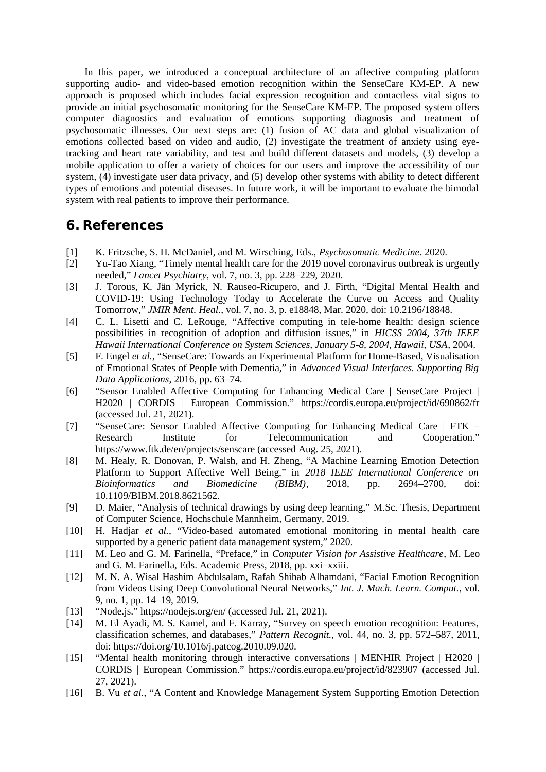In this paper, we introduced a conceptual architecture of an affective computing platform supporting audio- and video-based emotion recognition within the SenseCare KM-EP. A new approach is proposed which includes facial expression recognition and contactless vital signs to provide an initial psychosomatic monitoring for the SenseCare KM-EP. The proposed system offers computer diagnostics and evaluation of emotions supporting diagnosis and treatment of psychosomatic illnesses. Our next steps are: (1) fusion of AC data and global visualization of emotions collected based on video and audio, (2) investigate the treatment of anxiety using eyetracking and heart rate variability, and test and build different datasets and models, (3) develop a mobile application to offer a variety of choices for our users and improve the accessibility of our system, (4) investigate user data privacy, and (5) develop other systems with ability to detect different types of emotions and potential diseases. In future work, it will be important to evaluate the bimodal system with real patients to improve their performance.

### **6. References**

- [1] K. Fritzsche, S. H. McDaniel, and M. Wirsching, Eds., *Psychosomatic Medicine*. 2020.
- [2] Yu-Tao Xiang, "Timely mental health care for the 2019 novel coronavirus outbreak is urgently needed," *Lancet Psychiatry*, vol. 7, no. 3, pp. 228–229, 2020.
- [3] J. Torous, K. Jän Myrick, N. Rauseo-Ricupero, and J. Firth, "Digital Mental Health and COVID-19: Using Technology Today to Accelerate the Curve on Access and Quality Tomorrow," *JMIR Ment. Heal.*, vol. 7, no. 3, p. e18848, Mar. 2020, doi: 10.2196/18848.
- [4] C. L. Lisetti and C. LeRouge, "Affective computing in tele-home health: design science possibilities in recognition of adoption and diffusion issues," in *HICSS 2004, 37th IEEE Hawaii International Conference on System Sciences, January 5-8, 2004, Hawaii, USA*, 2004.
- [5] F. Engel *et al.*, "SenseCare: Towards an Experimental Platform for Home-Based, Visualisation of Emotional States of People with Dementia," in *Advanced Visual Interfaces. Supporting Big Data Applications*, 2016, pp. 63–74.
- [6] "Sensor Enabled Affective Computing for Enhancing Medical Care | SenseCare Project | H2020 | CORDIS | European Commission." https://cordis.europa.eu/project/id/690862/fr (accessed Jul. 21, 2021).
- [7] "SenseCare: Sensor Enabled Affective Computing for Enhancing Medical Care | FTK Research Institute for Telecommunication and Cooperation." https://www.ftk.de/en/projects/senscare (accessed Aug. 25, 2021).
- [8] M. Healy, R. Donovan, P. Walsh, and H. Zheng, "A Machine Learning Emotion Detection Platform to Support Affective Well Being," in *2018 IEEE International Conference on Bioinformatics and Biomedicine (BIBM)*, 2018, pp. 2694–2700, doi: 10.1109/BIBM.2018.8621562.
- [9] D. Maier, "Analysis of technical drawings by using deep learning," M.Sc. Thesis, Department of Computer Science, Hochschule Mannheim, Germany, 2019.
- [10] H. Hadjar *et al.*, "Video-based automated emotional monitoring in mental health care supported by a generic patient data management system," 2020.
- [11] M. Leo and G. M. Farinella, "Preface," in *Computer Vision for Assistive Healthcare*, M. Leo and G. M. Farinella, Eds. Academic Press, 2018, pp. xxi–xxiii.
- [12] M. N. A. Wisal Hashim Abdulsalam, Rafah Shihab Alhamdani, "Facial Emotion Recognition from Videos Using Deep Convolutional Neural Networks," *Int. J. Mach. Learn. Comput.*, vol. 9, no. 1, pp. 14–19, 2019.
- [13] "Node.js." https://nodejs.org/en/ (accessed Jul. 21, 2021).
- [14] M. El Ayadi, M. S. Kamel, and F. Karray, "Survey on speech emotion recognition: Features, classification schemes, and databases," *Pattern Recognit.*, vol. 44, no. 3, pp. 572–587, 2011, doi: https://doi.org/10.1016/j.patcog.2010.09.020.
- [15] "Mental health monitoring through interactive conversations | MENHIR Project | H2020 | CORDIS | European Commission." https://cordis.europa.eu/project/id/823907 (accessed Jul. 27, 2021).
- [16] B. Vu *et al.*, "A Content and Knowledge Management System Supporting Emotion Detection